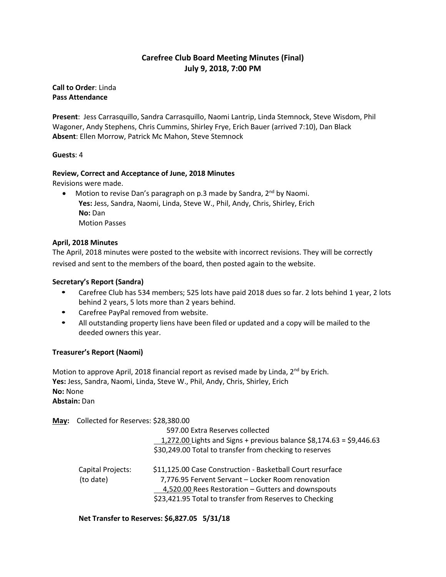# **Carefree Club Board Meeting Minutes (Final) July 9, 2018, 7:00 PM**

**Call to Order**: Linda **Pass Attendance**

**Present**: Jess Carrasquillo, Sandra Carrasquillo, Naomi Lantrip, Linda Stemnock, Steve Wisdom, Phil Wagoner, Andy Stephens, Chris Cummins, Shirley Frye, Erich Bauer (arrived 7:10), Dan Black **Absent**: Ellen Morrow, Patrick Mc Mahon, Steve Stemnock

## **Guests**: 4

#### **Review, Correct and Acceptance of June, 2018 Minutes**

Revisions were made.

• Motion to revise Dan's paragraph on p.3 made by Sandra, 2<sup>nd</sup> by Naomi. **Yes:** Jess, Sandra, Naomi, Linda, Steve W., Phil, Andy, Chris, Shirley, Erich **No:** Dan Motion Passes

#### **April, 2018 Minutes**

The April, 2018 minutes were posted to the website with incorrect revisions. They will be correctly revised and sent to the members of the board, then posted again to the website.

#### **Secretary's Report (Sandra)**

- Carefree Club has 534 members; 525 lots have paid 2018 dues so far. 2 lots behind 1 year, 2 lots behind 2 years, 5 lots more than 2 years behind.
- Carefree PayPal removed from website.
- All outstanding property liens have been filed or updated and a copy will be mailed to the deeded owners this year.

## **Treasurer's Report (Naomi)**

Motion to approve April, 2018 financial report as revised made by Linda,  $2^{nd}$  by Erich. **Yes:** Jess, Sandra, Naomi, Linda, Steve W., Phil, Andy, Chris, Shirley, Erich **No:** None **Abstain:** Dan

**May:** Collected for Reserves: \$28,380.00

|                                | 597.00 Extra Reserves collected<br>1,272.00 Lights and Signs + previous balance $$8,174.63 = $9,446.63$<br>\$30,249.00 Total to transfer from checking to reserves                                                               |
|--------------------------------|----------------------------------------------------------------------------------------------------------------------------------------------------------------------------------------------------------------------------------|
| Capital Projects:<br>(to date) | \$11,125.00 Case Construction - Basketball Court resurface<br>7,776.95 Fervent Servant - Locker Room renovation<br>4,520.00 Rees Restoration - Gutters and downspouts<br>\$23,421.95 Total to transfer from Reserves to Checking |

**Net Transfer to Reserves: \$6,827.05 5/31/18**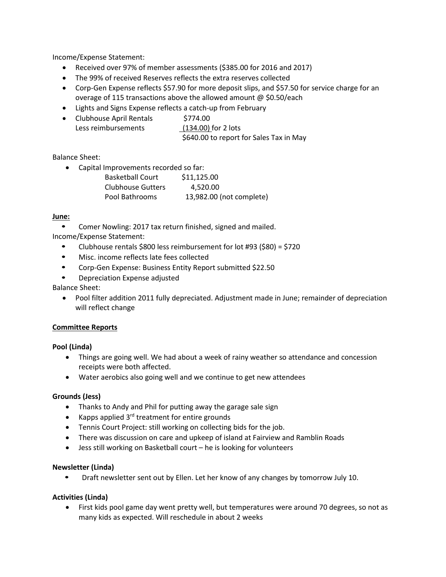Income/Expense Statement:

- Received over 97% of member assessments (\$385.00 for 2016 and 2017)
- The 99% of received Reserves reflects the extra reserves collected
- Corp-Gen Expense reflects \$57.90 for more deposit slips, and \$57.50 for service charge for an overage of 115 transactions above the allowed amount @ \$0.50/each
- Lights and Signs Expense reflects a catch-up from February
- Clubhouse April Rentals \$774.00 Less reimbursements (134.00) for 2 lots \$640.00 to report for Sales Tax in May

# Balance Sheet:

• Capital Improvements recorded so far:

| <b>Basketball Court</b> | \$11,125.00              |
|-------------------------|--------------------------|
| Clubhouse Gutters       | 4.520.00                 |
| Pool Bathrooms          | 13,982.00 (not complete) |

# **June:**

• Comer Nowling: 2017 tax return finished, signed and mailed.

Income/Expense Statement:

- Clubhouse rentals \$800 less reimbursement for lot #93 (\$80) = \$720
- Misc. income reflects late fees collected
- Corp-Gen Expense: Business Entity Report submitted \$22.50
- Depreciation Expense adjusted

Balance Sheet:

• Pool filter addition 2011 fully depreciated. Adjustment made in June; remainder of depreciation will reflect change

## **Committee Reports**

## **Pool (Linda)**

- Things are going well. We had about a week of rainy weather so attendance and concession receipts were both affected.
- Water aerobics also going well and we continue to get new attendees

## **Grounds (Jess)**

- Thanks to Andy and Phil for putting away the garage sale sign
- Kapps applied  $3^{rd}$  treatment for entire grounds
- Tennis Court Project: still working on collecting bids for the job.
- There was discussion on care and upkeep of island at Fairview and Ramblin Roads
- Jess still working on Basketball court he is looking for volunteers

## **Newsletter (Linda)**

• Draft newsletter sent out by Ellen. Let her know of any changes by tomorrow July 10.

## **Activities (Linda)**

• First kids pool game day went pretty well, but temperatures were around 70 degrees, so not as many kids as expected. Will reschedule in about 2 weeks